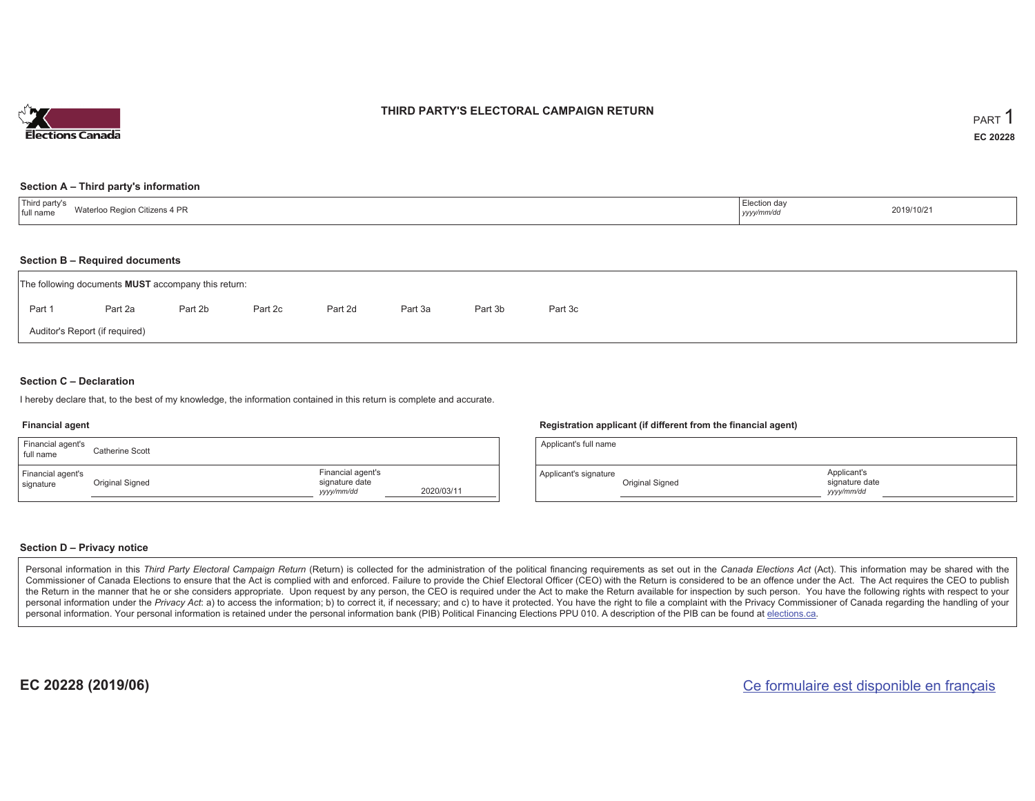

### **THIRD PARTY'S ELECTORAL CAMPAIGN RETURN**

#### **Section A – Third party's information**

| <sup>'</sup> Third party s<br>on Citizens 4 PR<br>Water<br>`∩ Region<br>I full name | lection day.<br>2019/10/21<br>yyyy/mm/dd |  |
|-------------------------------------------------------------------------------------|------------------------------------------|--|
|-------------------------------------------------------------------------------------|------------------------------------------|--|

#### **Section B – Required documents**

|                                | The following documents <b>MUST</b> accompany this return: |         |         |         |         |         |         |  |  |  |  |
|--------------------------------|------------------------------------------------------------|---------|---------|---------|---------|---------|---------|--|--|--|--|
| Part 1                         | Part 2a                                                    | Part 2b | Part 2c | Part 2d | Part 3a | Part 3b | Part 3c |  |  |  |  |
| Auditor's Report (if required) |                                                            |         |         |         |         |         |         |  |  |  |  |

### **Section C – Declaration**

I hereby declare that, to the best of my knowledge, the information contained in this return is complete and accurate.

#### **Financial agent**

| Financial agent's<br>full name | Catherine Scott |                                                   |            |
|--------------------------------|-----------------|---------------------------------------------------|------------|
| Financial agent's<br>signature | Original Signed | Financial agent's<br>signature date<br>yyyy/mm/dd | 2020/03/11 |

#### **Registration applicant (if different from the financial agent)**

| Applicant's full name |                 |                                             |
|-----------------------|-----------------|---------------------------------------------|
| Applicant's signature | Original Signed | Applicant's<br>signature date<br>yyyy/mm/dd |

### **Section D – Privacy notice**

Personal information in this Third Party Electoral Campaign Return (Return) is collected for the administration of the political financing requirements as set out in the Canada Elections Act (Act). This information may be Commissioner of Canada Elections to ensure that the Act is complied with and enforced. Failure to provide the Chief Electoral Officer (CEO) with the Return is considered to be an offence under the Act. The Act requires the the Return in the manner that he or she considers appropriate. Upon request by any person, the CEO is required under the Act to make the Return available for inspection by such person. You have the following rights with re personal information under the Privacy Act: a) to access the information; b) to correct it, if necessary; and c) to have it protected. You have the right to file a complaint with the Privacy Commissioner of Canada regardin personal information. Your personal information is retained under the personal information bank (PIB) Political Financing Elections PPU 010. A description of the PIB can be found at elections.ca.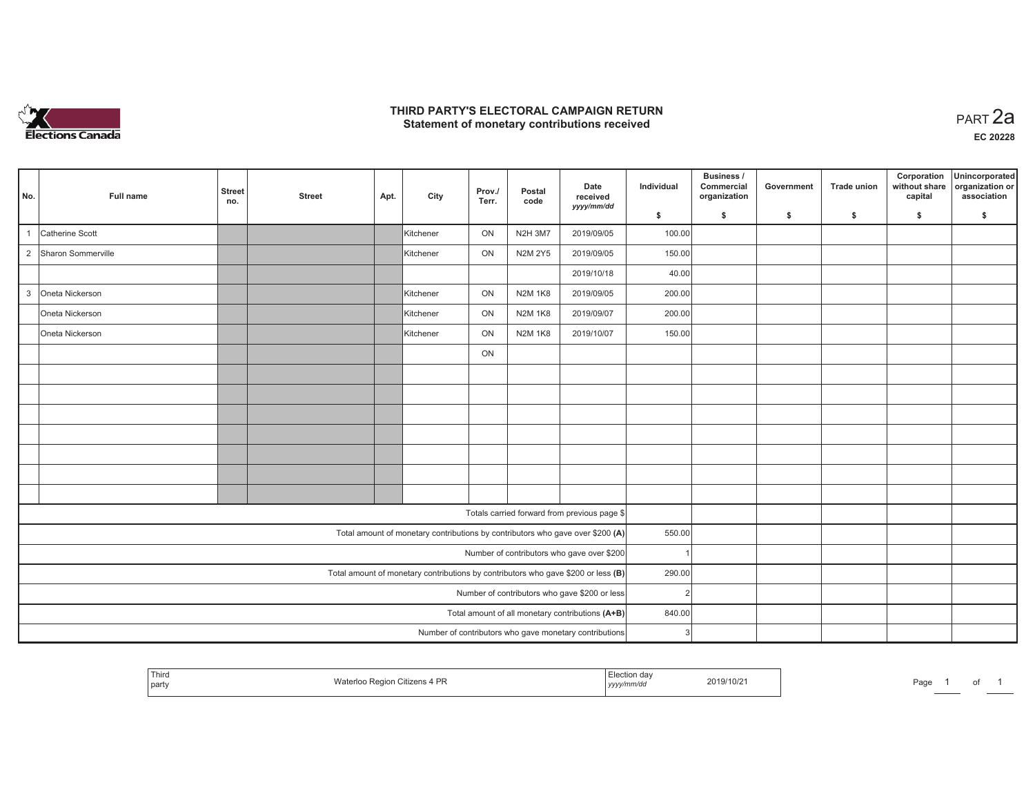

## **THIRD PARTY'S ELECTORAL CAMPAIGN RETURN HIRD PARTY'S ELECTORAL CAMPAIGN RETURN<br>Statement of monetary contributions received PART 2a**

|                |                    |                      |               |      |           |                 |                |                                                                                   |                | Business /                 |            |                    |                                         |                                                  |
|----------------|--------------------|----------------------|---------------|------|-----------|-----------------|----------------|-----------------------------------------------------------------------------------|----------------|----------------------------|------------|--------------------|-----------------------------------------|--------------------------------------------------|
| No.            | Full name          | <b>Street</b><br>no. | <b>Street</b> | Apt. | City      | Prov./<br>Terr. | Postal<br>code | Date<br>received                                                                  | Individual     | Commercial<br>organization | Government | <b>Trade union</b> | Corporation<br>without share<br>capital | Unincorporated<br>organization or<br>association |
|                |                    |                      |               |      |           |                 |                | yyyy/mm/dd                                                                        | \$             | S.                         | \$         | -S                 | \$                                      | \$                                               |
|                | Catherine Scott    |                      |               |      | Kitchener | ON              | <b>N2H 3M7</b> | 2019/09/05                                                                        | 100.00         |                            |            |                    |                                         |                                                  |
| $\overline{2}$ | Sharon Sommerville |                      |               |      | Kitchener | ON              | <b>N2M 2Y5</b> | 2019/09/05                                                                        | 150.00         |                            |            |                    |                                         |                                                  |
|                |                    |                      |               |      |           |                 |                | 2019/10/18                                                                        | 40.00          |                            |            |                    |                                         |                                                  |
| $\mathbf{3}$   | Oneta Nickerson    |                      |               |      | Kitchener | ON              | <b>N2M 1K8</b> | 2019/09/05                                                                        | 200.00         |                            |            |                    |                                         |                                                  |
|                | Oneta Nickerson    |                      |               |      | Kitchener | ON              | <b>N2M 1K8</b> | 2019/09/07                                                                        | 200.00         |                            |            |                    |                                         |                                                  |
|                | Oneta Nickerson    |                      |               |      | Kitchener | ON              | <b>N2M 1K8</b> | 2019/10/07                                                                        | 150.00         |                            |            |                    |                                         |                                                  |
|                |                    |                      |               |      |           | ON              |                |                                                                                   |                |                            |            |                    |                                         |                                                  |
|                |                    |                      |               |      |           |                 |                |                                                                                   |                |                            |            |                    |                                         |                                                  |
|                |                    |                      |               |      |           |                 |                |                                                                                   |                |                            |            |                    |                                         |                                                  |
|                |                    |                      |               |      |           |                 |                |                                                                                   |                |                            |            |                    |                                         |                                                  |
|                |                    |                      |               |      |           |                 |                |                                                                                   |                |                            |            |                    |                                         |                                                  |
|                |                    |                      |               |      |           |                 |                |                                                                                   |                |                            |            |                    |                                         |                                                  |
|                |                    |                      |               |      |           |                 |                |                                                                                   |                |                            |            |                    |                                         |                                                  |
|                |                    |                      |               |      |           |                 |                |                                                                                   |                |                            |            |                    |                                         |                                                  |
|                |                    |                      |               |      |           |                 |                | Totals carried forward from previous page \$                                      |                |                            |            |                    |                                         |                                                  |
|                |                    |                      |               |      |           |                 |                | Total amount of monetary contributions by contributors who gave over \$200 (A)    | 550.00         |                            |            |                    |                                         |                                                  |
|                |                    |                      |               |      |           |                 |                | Number of contributors who gave over \$200                                        |                |                            |            |                    |                                         |                                                  |
|                |                    |                      |               |      |           |                 |                | Total amount of monetary contributions by contributors who gave \$200 or less (B) | 290.00         |                            |            |                    |                                         |                                                  |
|                |                    |                      |               |      |           |                 |                | Number of contributors who gave \$200 or less                                     | $\overline{2}$ |                            |            |                    |                                         |                                                  |
|                |                    |                      |               |      |           |                 |                | Total amount of all monetary contributions (A+B)                                  | 840.00         |                            |            |                    |                                         |                                                  |
|                |                    |                      |               |      |           |                 |                | Number of contributors who gave monetary contributions                            | 3              |                            |            |                    |                                         |                                                  |

|  | Third<br>party | …. U⊞zens 4 PP<br>Regio<br>ונסעו | lection day<br><sub>i</sub> yyyy/mm/dd | 2019/10/21 | the property of the control of the con-<br>Page | ______ | ◡ |  |
|--|----------------|----------------------------------|----------------------------------------|------------|-------------------------------------------------|--------|---|--|
|--|----------------|----------------------------------|----------------------------------------|------------|-------------------------------------------------|--------|---|--|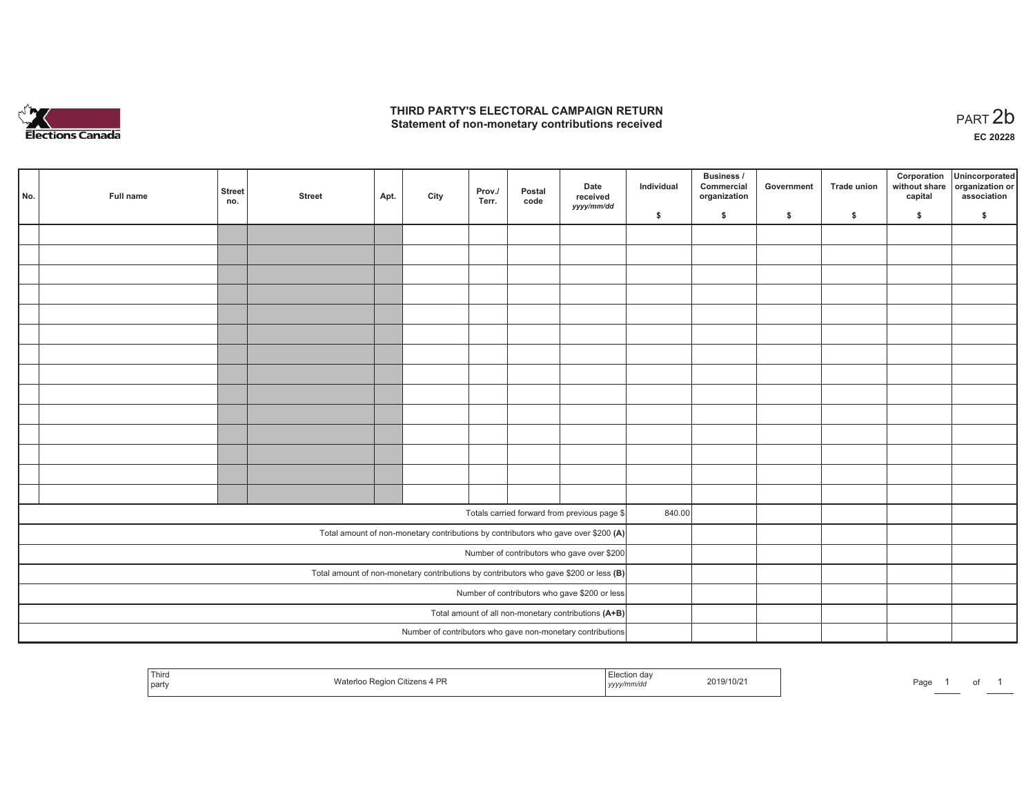

## **THIRD PARTY'S ELECTORAL CAMPAIGN RETURN**  THIRD PARTY'S ELECTORAL CAMPAIGN RETURN<br>Statement of non-monetary contributions received

| No. | Full name | <b>Street</b><br>no. | <b>Street</b> | Apt. | City | Prov./<br>Terr. | Postal<br>code | Date<br>received<br>yyyy/mm/dd                                                          | Individual | <b>Business /</b><br>Commercial<br>organization | Government | Trade union | Corporation<br>capital | Unincorporated<br>without share organization or<br>association |
|-----|-----------|----------------------|---------------|------|------|-----------------|----------------|-----------------------------------------------------------------------------------------|------------|-------------------------------------------------|------------|-------------|------------------------|----------------------------------------------------------------|
|     |           |                      |               |      |      |                 |                |                                                                                         | \$         | \$                                              | \$         | \$          | \$                     | \$                                                             |
|     |           |                      |               |      |      |                 |                |                                                                                         |            |                                                 |            |             |                        |                                                                |
|     |           |                      |               |      |      |                 |                |                                                                                         |            |                                                 |            |             |                        |                                                                |
|     |           |                      |               |      |      |                 |                |                                                                                         |            |                                                 |            |             |                        |                                                                |
|     |           |                      |               |      |      |                 |                |                                                                                         |            |                                                 |            |             |                        |                                                                |
|     |           |                      |               |      |      |                 |                |                                                                                         |            |                                                 |            |             |                        |                                                                |
|     |           |                      |               |      |      |                 |                |                                                                                         |            |                                                 |            |             |                        |                                                                |
|     |           |                      |               |      |      |                 |                |                                                                                         |            |                                                 |            |             |                        |                                                                |
|     |           |                      |               |      |      |                 |                |                                                                                         |            |                                                 |            |             |                        |                                                                |
|     |           |                      |               |      |      |                 |                |                                                                                         |            |                                                 |            |             |                        |                                                                |
|     |           |                      |               |      |      |                 |                |                                                                                         |            |                                                 |            |             |                        |                                                                |
|     |           |                      |               |      |      |                 |                |                                                                                         |            |                                                 |            |             |                        |                                                                |
|     |           |                      |               |      |      |                 |                |                                                                                         |            |                                                 |            |             |                        |                                                                |
|     |           |                      |               |      |      |                 |                |                                                                                         |            |                                                 |            |             |                        |                                                                |
|     |           |                      |               |      |      |                 |                |                                                                                         |            |                                                 |            |             |                        |                                                                |
|     |           |                      |               |      |      |                 |                | Totals carried forward from previous page \$                                            | 840.00     |                                                 |            |             |                        |                                                                |
|     |           |                      |               |      |      |                 |                |                                                                                         |            |                                                 |            |             |                        |                                                                |
|     |           |                      |               |      |      |                 |                | Total amount of non-monetary contributions by contributors who gave over \$200 (A)      |            |                                                 |            |             |                        |                                                                |
|     |           |                      |               |      |      |                 |                | Number of contributors who gave over \$200                                              |            |                                                 |            |             |                        |                                                                |
|     |           |                      |               |      |      |                 |                | Total amount of non-monetary contributions by contributors who gave \$200 or less $(B)$ |            |                                                 |            |             |                        |                                                                |
|     |           |                      |               |      |      |                 |                | Number of contributors who gave \$200 or less                                           |            |                                                 |            |             |                        |                                                                |
|     |           |                      |               |      |      |                 |                | Total amount of all non-monetary contributions (A+B)                                    |            |                                                 |            |             |                        |                                                                |
|     |           |                      |               |      |      |                 |                | Number of contributors who gave non-monetary contributions                              |            |                                                 |            |             |                        |                                                                |

| Third<br>l party | Waterloo Region Citizens 4 PR | aa v<br>  yyyymmvaa | 2019/10/21 | Page |  |  |  |
|------------------|-------------------------------|---------------------|------------|------|--|--|--|
|------------------|-------------------------------|---------------------|------------|------|--|--|--|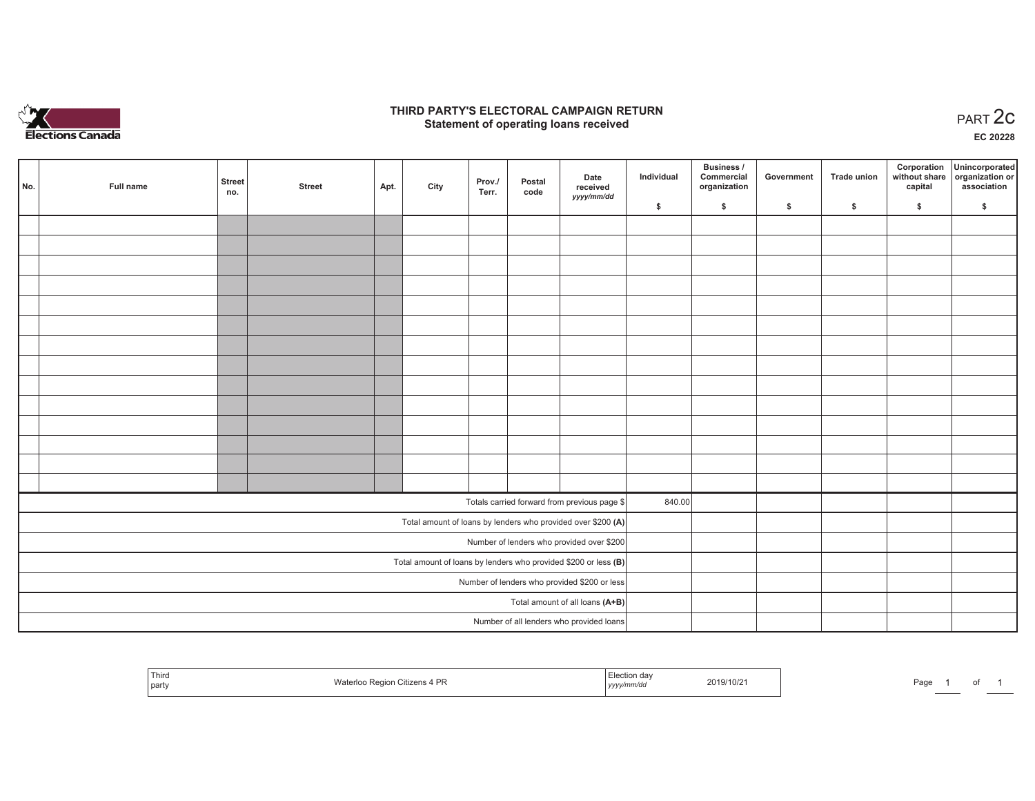

## **THIRD PARTY'S ELECTORAL CAMPAIGN RETURN STATE:** PARTY'S ELECTORAL CAMPAIGN RETURN<br>
Statement of operating loans received

**EC 20228**

of 1

| No. | Full name | <b>Street</b> | <b>Street</b> | Apt. | City | Prov./ | Postal | Date<br>received                                                  | Individual | Business /<br>Commercial<br>organization | Government | Trade union | Corporation<br>capital | Unincorporated<br>without share organization or<br>association |
|-----|-----------|---------------|---------------|------|------|--------|--------|-------------------------------------------------------------------|------------|------------------------------------------|------------|-------------|------------------------|----------------------------------------------------------------|
|     |           | no.           |               |      |      | Terr.  | code   | yyyy/mm/dd                                                        | \$         | \$                                       | \$         | \$          | \$                     | \$                                                             |
|     |           |               |               |      |      |        |        |                                                                   |            |                                          |            |             |                        |                                                                |
|     |           |               |               |      |      |        |        |                                                                   |            |                                          |            |             |                        |                                                                |
|     |           |               |               |      |      |        |        |                                                                   |            |                                          |            |             |                        |                                                                |
|     |           |               |               |      |      |        |        |                                                                   |            |                                          |            |             |                        |                                                                |
|     |           |               |               |      |      |        |        |                                                                   |            |                                          |            |             |                        |                                                                |
|     |           |               |               |      |      |        |        |                                                                   |            |                                          |            |             |                        |                                                                |
|     |           |               |               |      |      |        |        |                                                                   |            |                                          |            |             |                        |                                                                |
|     |           |               |               |      |      |        |        |                                                                   |            |                                          |            |             |                        |                                                                |
|     |           |               |               |      |      |        |        |                                                                   |            |                                          |            |             |                        |                                                                |
|     |           |               |               |      |      |        |        |                                                                   |            |                                          |            |             |                        |                                                                |
|     |           |               |               |      |      |        |        |                                                                   |            |                                          |            |             |                        |                                                                |
|     |           |               |               |      |      |        |        |                                                                   |            |                                          |            |             |                        |                                                                |
|     |           |               |               |      |      |        |        |                                                                   |            |                                          |            |             |                        |                                                                |
|     |           |               |               |      |      |        |        |                                                                   |            |                                          |            |             |                        |                                                                |
|     |           |               |               |      |      |        |        | Totals carried forward from previous page \$                      | 840.00     |                                          |            |             |                        |                                                                |
|     |           |               |               |      |      |        |        | Total amount of loans by lenders who provided over \$200 (A)      |            |                                          |            |             |                        |                                                                |
|     |           |               |               |      |      |        |        | Number of lenders who provided over \$200                         |            |                                          |            |             |                        |                                                                |
|     |           |               |               |      |      |        |        | Total amount of loans by lenders who provided \$200 or less $(B)$ |            |                                          |            |             |                        |                                                                |
|     |           |               |               |      |      |        |        | Number of lenders who provided \$200 or less                      |            |                                          |            |             |                        |                                                                |
|     |           |               |               |      |      |        |        | Total amount of all loans (A+B)                                   |            |                                          |            |             |                        |                                                                |
|     |           |               |               |      |      |        |        | Number of all lenders who provided loans                          |            |                                          |            |             |                        |                                                                |

| Third<br>part | Wa<br>PF<br>. liizen:<br>Region | ിട<br>unvac<br>,,,,, | 019/10/2 | Page |  |
|---------------|---------------------------------|----------------------|----------|------|--|
|---------------|---------------------------------|----------------------|----------|------|--|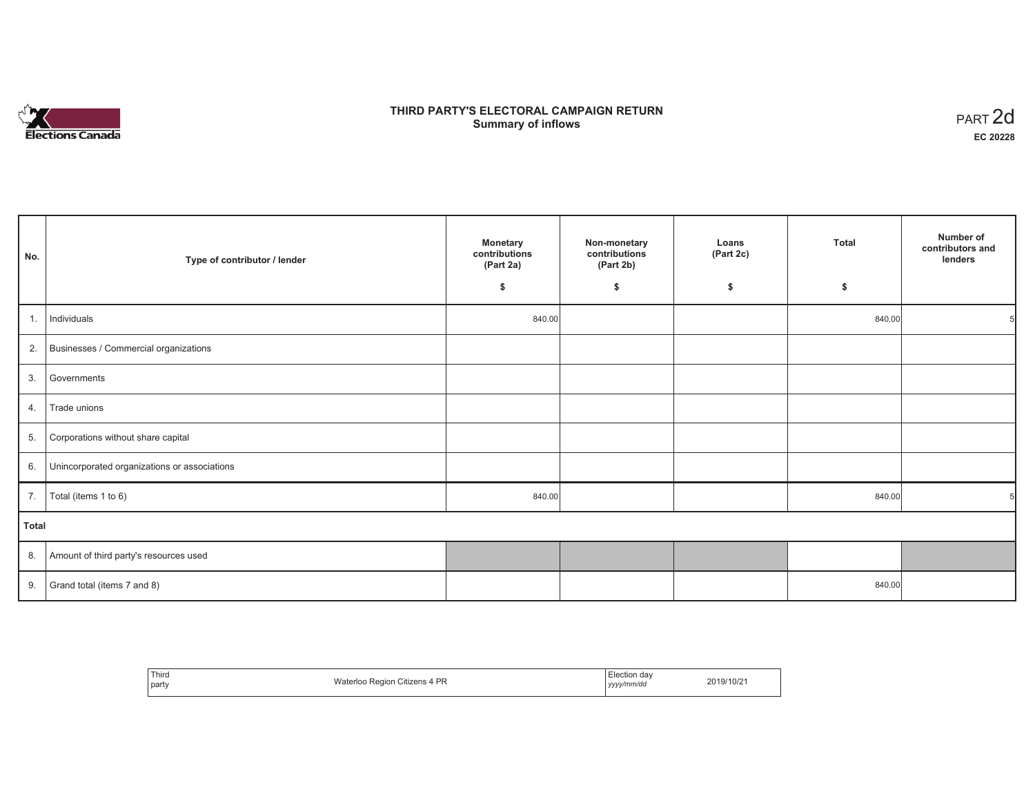

# **THIRD PARTY'S ELECTORAL CAMPAIGN RETURN Summary of inflows** PART 2d

| No.          | Type of contributor / lender                    | <b>Monetary</b><br>contributions<br>(Part 2a) | Non-monetary<br>contributions<br>(Part 2b) | Loans<br>(Part 2c) | <b>Total</b> | Number of<br>contributors and<br>lenders |
|--------------|-------------------------------------------------|-----------------------------------------------|--------------------------------------------|--------------------|--------------|------------------------------------------|
|              |                                                 | \$                                            | \$                                         | \$                 | \$           |                                          |
| 1.           | Individuals                                     | 840.00                                        |                                            |                    | 840.00       |                                          |
|              | 2. Businesses / Commercial organizations        |                                               |                                            |                    |              |                                          |
| 3.           | Governments                                     |                                               |                                            |                    |              |                                          |
| 4.           | Trade unions                                    |                                               |                                            |                    |              |                                          |
| 5.           | Corporations without share capital              |                                               |                                            |                    |              |                                          |
|              | 6. Unincorporated organizations or associations |                                               |                                            |                    |              |                                          |
| 7.           | Total (items 1 to 6)                            | 840.00                                        |                                            |                    | 840.00       |                                          |
| <b>Total</b> |                                                 |                                               |                                            |                    |              |                                          |
|              | 8. Amount of third party's resources used       |                                               |                                            |                    |              |                                          |
| 9.           | Grand total (items 7 and 8)                     |                                               |                                            |                    | 840.00       |                                          |

| Third | Citizens 4 PR   | Election day | 2019/10/21 |
|-------|-----------------|--------------|------------|
| party | Waterloo Region | yyyy/mm/dd   |            |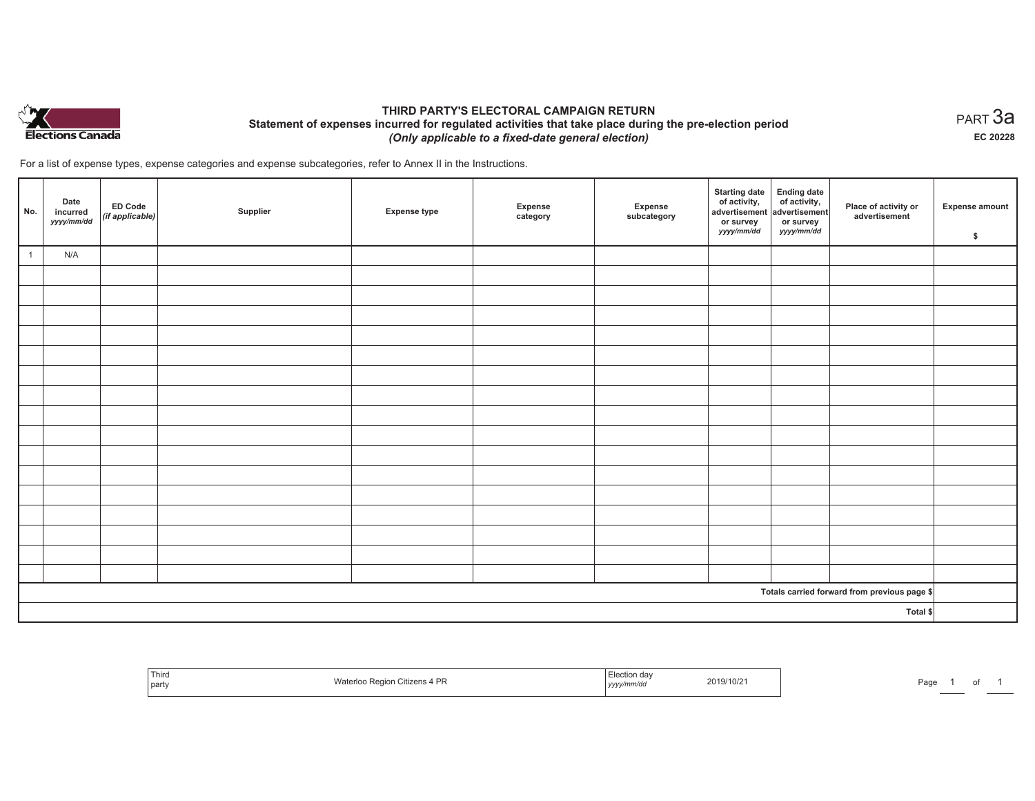

## **THIRD PARTY'S ELECTORAL CAMPAIGN RETURN Statement of expenses incurred for regulated activities that take place during the pre-election period**  *(Only applicable to a fixed-date general election)*

For a list of expense types, expense categories and expense subcategories, refer to Annex II in the Instructions.

| No.            | Date<br>incurred<br>yyyy/mm/dd | $\left  \begin{array}{c} \text{ED Code} \\ (\text{if applicable}) \end{array} \right $ | Supplier | <b>Expense type</b> | Expense<br>category | Expense<br>subcategory | <b>Starting date</b><br>of activity,<br>advertisement<br>or survey<br>yyyy/mm/dd | Ending date<br>of activity,<br>advertisement<br>or survey<br>yyyy/mm/dd | Place of activity or<br>advertisement        | <b>Expense amount</b><br>\$ |
|----------------|--------------------------------|----------------------------------------------------------------------------------------|----------|---------------------|---------------------|------------------------|----------------------------------------------------------------------------------|-------------------------------------------------------------------------|----------------------------------------------|-----------------------------|
| $\overline{1}$ | N/A                            |                                                                                        |          |                     |                     |                        |                                                                                  |                                                                         |                                              |                             |
|                |                                |                                                                                        |          |                     |                     |                        |                                                                                  |                                                                         |                                              |                             |
|                |                                |                                                                                        |          |                     |                     |                        |                                                                                  |                                                                         |                                              |                             |
|                |                                |                                                                                        |          |                     |                     |                        |                                                                                  |                                                                         |                                              |                             |
|                |                                |                                                                                        |          |                     |                     |                        |                                                                                  |                                                                         |                                              |                             |
|                |                                |                                                                                        |          |                     |                     |                        |                                                                                  |                                                                         |                                              |                             |
|                |                                |                                                                                        |          |                     |                     |                        |                                                                                  |                                                                         |                                              |                             |
|                |                                |                                                                                        |          |                     |                     |                        |                                                                                  |                                                                         |                                              |                             |
|                |                                |                                                                                        |          |                     |                     |                        |                                                                                  |                                                                         |                                              |                             |
|                |                                |                                                                                        |          |                     |                     |                        |                                                                                  |                                                                         |                                              |                             |
|                |                                |                                                                                        |          |                     |                     |                        |                                                                                  |                                                                         |                                              |                             |
|                |                                |                                                                                        |          |                     |                     |                        |                                                                                  |                                                                         |                                              |                             |
|                |                                |                                                                                        |          |                     |                     |                        |                                                                                  |                                                                         |                                              |                             |
|                |                                |                                                                                        |          |                     |                     |                        |                                                                                  |                                                                         |                                              |                             |
|                |                                |                                                                                        |          |                     |                     |                        |                                                                                  |                                                                         |                                              |                             |
|                |                                |                                                                                        |          |                     |                     |                        |                                                                                  |                                                                         |                                              |                             |
|                |                                |                                                                                        |          |                     |                     |                        |                                                                                  |                                                                         |                                              |                             |
|                |                                |                                                                                        |          |                     |                     |                        |                                                                                  |                                                                         | Totals carried forward from previous page \$ |                             |
|                |                                |                                                                                        |          |                     |                     |                        |                                                                                  |                                                                         | Total \$                                     |                             |

| Third<br>party | Waterloo Region Citizens 4 PR | Election day<br>2019/10/21<br>.<br>yyyy/mm/dd | Page |
|----------------|-------------------------------|-----------------------------------------------|------|
|----------------|-------------------------------|-----------------------------------------------|------|

 $_{\sf PART}$ 3a **EC 20228**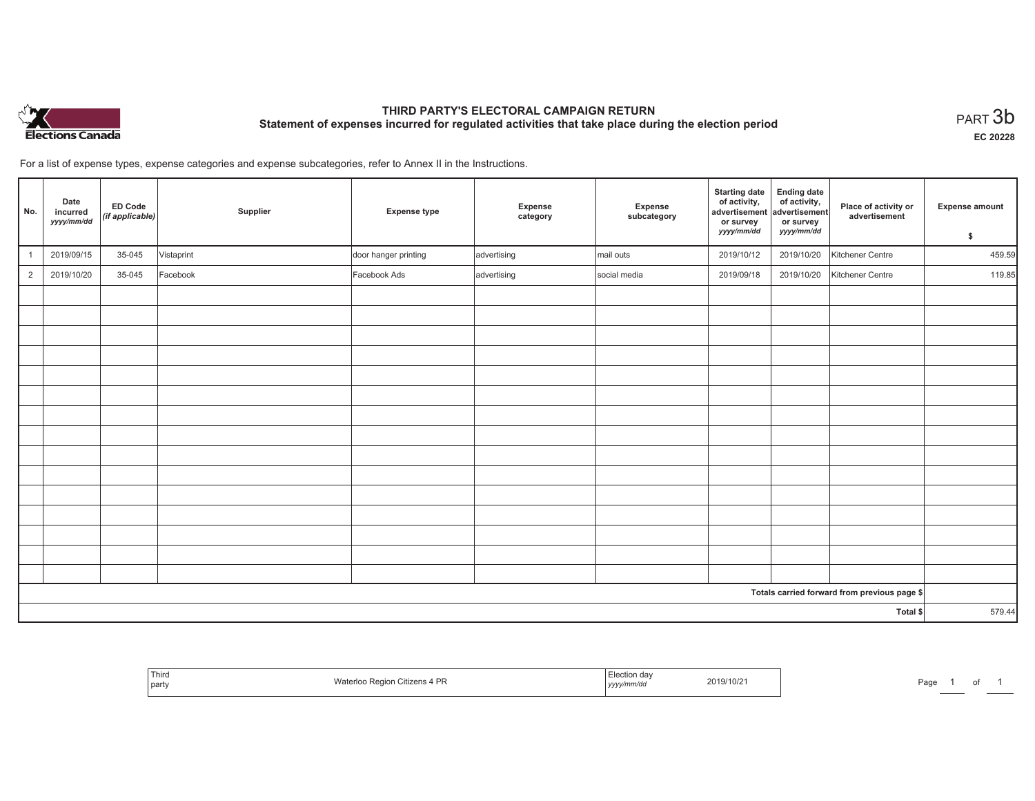

# **THIRD PARTY'S ELECTORAL CAMPAIGN RETURN Statement of expenses incurred for regulated activities that take place during the election period**<br>PART  $3\mathsf{b}$

**EC 20228**

For a list of expense types, expense categories and expense subcategories, refer to Annex II in the Instructions.

| No.            | Date<br>incurred<br>yyyy/mm/dd | <b>ED Code</b><br>(if applicable) | Supplier   | <b>Expense type</b>  | Expense<br>category | Expense<br>subcategory | <b>Starting date</b><br>of activity,<br>advertisement<br>or survey<br>yyyy/mm/dd | <b>Ending date</b><br>of activity,<br>advertisement<br>or survey<br>yyyy/mm/dd | Place of activity or<br>advertisement        | <b>Expense amount</b><br>\$ |
|----------------|--------------------------------|-----------------------------------|------------|----------------------|---------------------|------------------------|----------------------------------------------------------------------------------|--------------------------------------------------------------------------------|----------------------------------------------|-----------------------------|
|                | 2019/09/15                     | 35-045                            | Vistaprint | door hanger printing | advertising         | mail outs              | 2019/10/12                                                                       | 2019/10/20                                                                     | Kitchener Centre                             | 459.59                      |
| $\overline{2}$ | 2019/10/20                     | 35-045                            | Facebook   | Facebook Ads         | advertising         | social media           | 2019/09/18                                                                       | 2019/10/20                                                                     | Kitchener Centre                             | 119.85                      |
|                |                                |                                   |            |                      |                     |                        |                                                                                  |                                                                                |                                              |                             |
|                |                                |                                   |            |                      |                     |                        |                                                                                  |                                                                                |                                              |                             |
|                |                                |                                   |            |                      |                     |                        |                                                                                  |                                                                                |                                              |                             |
|                |                                |                                   |            |                      |                     |                        |                                                                                  |                                                                                |                                              |                             |
|                |                                |                                   |            |                      |                     |                        |                                                                                  |                                                                                |                                              |                             |
|                |                                |                                   |            |                      |                     |                        |                                                                                  |                                                                                |                                              |                             |
|                |                                |                                   |            |                      |                     |                        |                                                                                  |                                                                                |                                              |                             |
|                |                                |                                   |            |                      |                     |                        |                                                                                  |                                                                                |                                              |                             |
|                |                                |                                   |            |                      |                     |                        |                                                                                  |                                                                                |                                              |                             |
|                |                                |                                   |            |                      |                     |                        |                                                                                  |                                                                                |                                              |                             |
|                |                                |                                   |            |                      |                     |                        |                                                                                  |                                                                                |                                              |                             |
|                |                                |                                   |            |                      |                     |                        |                                                                                  |                                                                                |                                              |                             |
|                |                                |                                   |            |                      |                     |                        |                                                                                  |                                                                                |                                              |                             |
|                |                                |                                   |            |                      |                     |                        |                                                                                  |                                                                                |                                              |                             |
|                |                                |                                   |            |                      |                     |                        |                                                                                  |                                                                                |                                              |                             |
|                |                                |                                   |            |                      |                     |                        |                                                                                  |                                                                                | Totals carried forward from previous page \$ |                             |
| Total \$       |                                |                                   |            |                      |                     | 579.44                 |                                                                                  |                                                                                |                                              |                             |

| Third<br>party | o Region Citizens 4 PR<br>Waterloo | Election day<br>2019/10/21<br>yyyy/mm/dd | Pag |
|----------------|------------------------------------|------------------------------------------|-----|
|----------------|------------------------------------|------------------------------------------|-----|